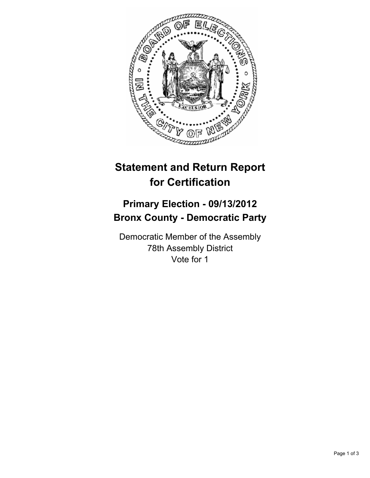

## **Statement and Return Report for Certification**

## **Primary Election - 09/13/2012 Bronx County - Democratic Party**

Democratic Member of the Assembly 78th Assembly District Vote for 1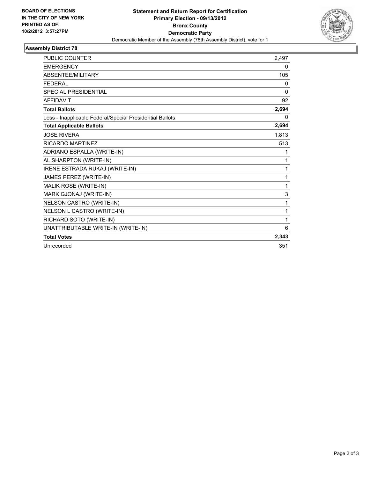

## **Assembly District 78**

| <b>PUBLIC COUNTER</b>                                    | 2,497        |
|----------------------------------------------------------|--------------|
| <b>EMERGENCY</b>                                         | 0            |
| <b>ABSENTEE/MILITARY</b>                                 | 105          |
| <b>FEDERAL</b>                                           | 0            |
| <b>SPECIAL PRESIDENTIAL</b>                              | $\mathbf{0}$ |
| <b>AFFIDAVIT</b>                                         | 92           |
| <b>Total Ballots</b>                                     | 2,694        |
| Less - Inapplicable Federal/Special Presidential Ballots | 0            |
| <b>Total Applicable Ballots</b>                          | 2,694        |
| <b>JOSE RIVERA</b>                                       | 1,813        |
| RICARDO MARTINEZ                                         | 513          |
| ADRIANO ESPALLA (WRITE-IN)                               | 1            |
| AL SHARPTON (WRITE-IN)                                   | 1            |
| IRENE ESTRADA RUKAJ (WRITE-IN)                           | 1            |
| JAMES PEREZ (WRITE-IN)                                   | 1            |
| MALIK ROSE (WRITE-IN)                                    | 1            |
| MARK GJONAJ (WRITE-IN)                                   | 3            |
| NELSON CASTRO (WRITE-IN)                                 | 1            |
| NELSON L CASTRO (WRITE-IN)                               | 1            |
| RICHARD SOTO (WRITE-IN)                                  | 1            |
| UNATTRIBUTABLE WRITE-IN (WRITE-IN)                       | 6            |
| <b>Total Votes</b>                                       | 2,343        |
| Unrecorded                                               | 351          |